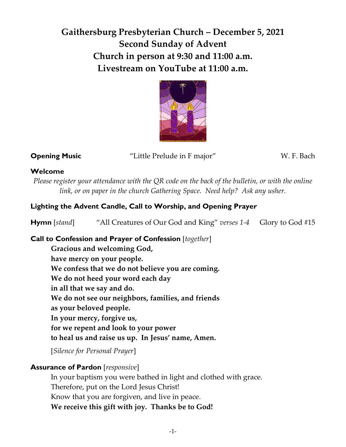# **Gaithersburg Presbyterian Church – December 5, 2021 Second Sunday of Advent Church in person at 9:30 and 11:00 a.m. Livestream on YouTube at 11:00 a.m.**



**Opening Music** "Little Prelude in F major" W. F. Bach

## **Welcome**

*Please register your attendance with the QR code on the back of the bulletin, or with the online link, or on paper in the church Gathering Space. Need help? Ask any usher.*

# **Lighting the Advent Candle, Call to Worship, and Opening Prayer**

**Hymn** [*stand*] "All Creatures of Our God and King" *verses 1-4* Glory to God #15

## **Call to Confession and Prayer of Confession** [*together*]

**Gracious and welcoming God, have mercy on your people. We confess that we do not believe you are coming. We do not heed your word each day in all that we say and do. We do not see our neighbors, families, and friends as your beloved people. In your mercy, forgive us, for we repent and look to your power to heal us and raise us up. In Jesus' name, Amen.** 

[*Silence for Personal Prayer*]

# **Assurance of Pardon** [*responsive*]

In your baptism you were bathed in light and clothed with grace. Therefore, put on the Lord Jesus Christ! Know that you are forgiven, and live in peace. **We receive this gift with joy. Thanks be to God!**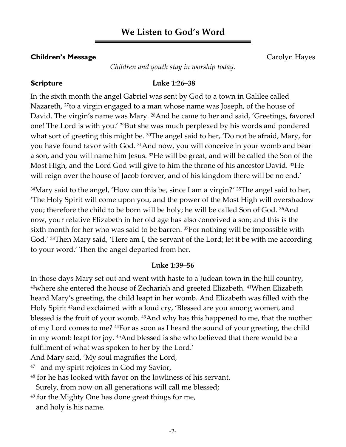# **We Listen to God's Word**

### **Children's Message** Carolyn Hayes

*Children and youth stay in worship today.*

## **Scripture Luke 1:26–38**

In the sixth month the angel Gabriel was sent by God to a town in Galilee called Nazareth, 27to a virgin engaged to a man whose name was Joseph, of the house of David. The virgin's name was Mary. 28And he came to her and said, 'Greetings, favored one! The Lord is with you.' <sup>29</sup>But she was much perplexed by his words and pondered what sort of greeting this might be. <sup>30</sup>The angel said to her, 'Do not be afraid, Mary, for you have found favor with God. 31And now, you will conceive in your womb and bear a son, and you will name him Jesus. 32He will be great, and will be called the Son of the Most High, and the Lord God will give to him the throne of his ancestor David. 33He will reign over the house of Jacob forever, and of his kingdom there will be no end.

<sup>34</sup>Mary said to the angel, 'How can this be, since I am a virgin?' <sup>35</sup>The angel said to her, 'The Holy Spirit will come upon you, and the power of the Most High will overshadow you; therefore the child to be born will be holy; he will be called Son of God. 36And now, your relative Elizabeth in her old age has also conceived a son; and this is the sixth month for her who was said to be barren. 37For nothing will be impossible with God.' 38Then Mary said, 'Here am I, the servant of the Lord; let it be with me according to your word.' Then the angel departed from her.

### **Luke 1:39–56**

In those days Mary set out and went with haste to a Judean town in the hill country, <sup>40</sup>where she entered the house of Zechariah and greeted Elizabeth. <sup>41</sup>When Elizabeth heard Mary's greeting, the child leapt in her womb. And Elizabeth was filled with the Holy Spirit 42and exclaimed with a loud cry, 'Blessed are you among women, and blessed is the fruit of your womb. 43And why has this happened to me, that the mother of my Lord comes to me? 44For as soon as I heard the sound of your greeting, the child in my womb leapt for joy. 45And blessed is she who believed that there would be a fulfilment of what was spoken to her by the Lord.'

And Mary said, 'My soul magnifies the Lord,

47 and my spirit rejoices in God my Savior,

<sup>48</sup> for he has looked with favor on the lowliness of his servant.

Surely, from now on all generations will call me blessed;

<sup>49</sup> for the Mighty One has done great things for me, and holy is his name.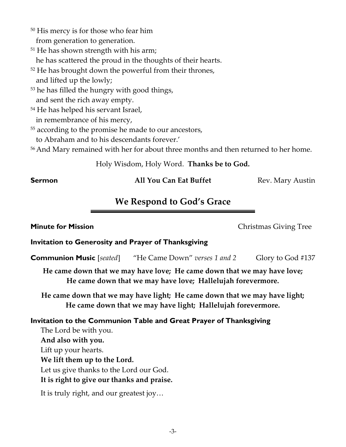- <sup>50</sup> His mercy is for those who fear him from generation to generation.
- <sup>51</sup> He has shown strength with his arm; he has scattered the proud in the thoughts of their hearts.
- <sup>52</sup> He has brought down the powerful from their thrones, and lifted up the lowly;
- <sup>53</sup> he has filled the hungry with good things, and sent the rich away empty.
- <sup>54</sup> He has helped his servant Israel, in remembrance of his mercy,

<sup>55</sup> according to the promise he made to our ancestors,

to Abraham and to his descendants forever.'

<sup>56</sup>And Mary remained with her for about three months and then returned to her home.

Holy Wisdom, Holy Word. **Thanks be to God.**

## **Sermon All You Can Eat Buffet** Rev. Mary Austin

# **We Respond to God's Grace**

# **Invitation to Generosity and Prayer of Thanksgiving**

**Communion Music** [*seated*]"He Came Down" *verses 1 and 2* Glory to God #137

**He came down that we may have love; He came down that we may have love; He came down that we may have love; Hallelujah forevermore.**

**He came down that we may have light; He came down that we may have light; He came down that we may have light; Hallelujah forevermore.**

## **Invitation to the Communion Table and Great Prayer of Thanksgiving**

The Lord be with you. **And also with you.** Lift up your hearts. **We lift them up to the Lord.** Let us give thanks to the Lord our God. **It is right to give our thanks and praise.**

It is truly right, and our greatest joy…

**Minute for Mission Minute for Mission Christmas Giving Tree**